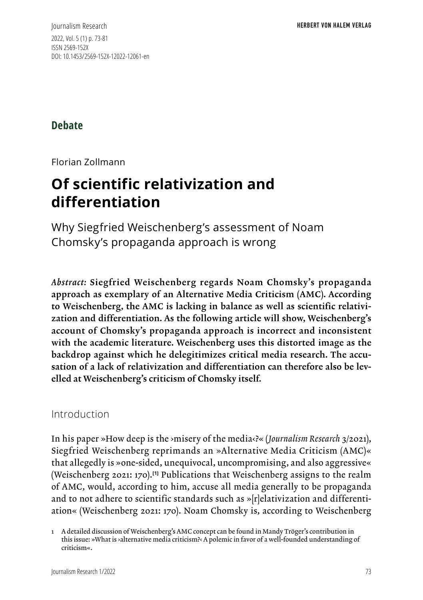Journalism Research 2022, Vol. 5 (1) p. 73-81 ISSN 2569-152X DOI: 10.1453/2569-152X-12022-12061-en

## **Debate**

Florian Zollmann

# **Of scientific relativization and differentiation**

Why Siegfried Weischenberg's assessment of Noam Chomsky's propaganda approach is wrong

*Abstract:* Siegfried Weischenberg regards Noam Chomsky's propaganda approach as exemplary of an Alternative Media Criticism (AMC). According to Weischenberg, the AMC is lacking in balance as well as scientific relativization and differentiation. As the following article will show, Weischenberg's account of Chomsky's propaganda approach is incorrect and inconsistent with the academic literature. Weischenberg uses this distorted image as the backdrop against which he delegitimizes critical media research. The accusation of a lack of relativization and differentiation can therefore also be levelled at Weischenberg's criticism of Chomsky itself.

### Introduction

In his paper »How deep is the ›misery of the media‹?« (*Journalism Research* 3/2021), Siegfried Weischenberg reprimands an »Alternative Media Criticism (AMC)« that allegedly is »one-sided, unequivocal, uncompromising, and also aggressive« (Weischenberg 2021: 170).**[1]** Publications that Weischenberg assigns to the realm of AMC, would, according to him, accuse all media generally to be propaganda and to not adhere to scientific standards such as »[r]elativization and differentiation« (Weischenberg 2021: 170). Noam Chomsky is, according to Weischenberg

<sup>1</sup> A detailed discussion of Weischenberg's AMC concept can be found in Mandy Tröger's contribution in this issue: »What is ›alternative media criticism?‹ A polemic in favor of a well-founded understanding of criticism«.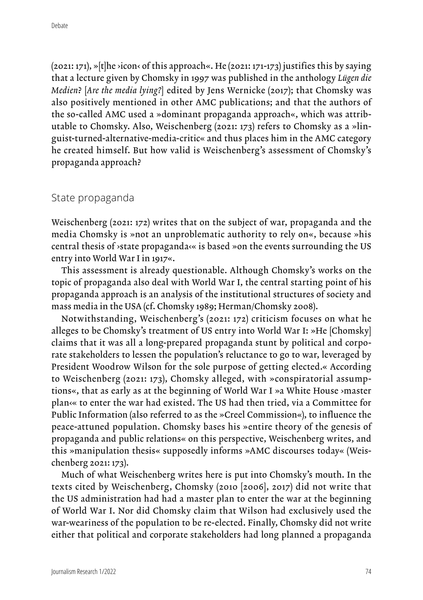$(2021: 171)$ ,  $\triangleright$  [t]he  $\cdot$ icon $\cdot$  of this approach«. He  $(2021: 171-173)$  justifies this by saying that a lecture given by Chomsky in 1997 was published in the anthology *Lügen die Medien?* [*Are the media lying?*] edited by Jens Wernicke (2017); that Chomsky was also positively mentioned in other AMC publications; and that the authors of the so-called AMC used a »dominant propaganda approach«, which was attributable to Chomsky. Also, Weischenberg (2021: 173) refers to Chomsky as a »linguist-turned-alternative-media-critic« and thus places him in the AMC category he created himself. But how valid is Weischenberg's assessment of Chomsky's propaganda approach?

#### State propaganda

Weischenberg (2021: 172) writes that on the subject of war, propaganda and the media Chomsky is »not an unproblematic authority to rely on«, because »his central thesis of ›state propaganda‹« is based »on the events surrounding the US entry into World War I in 1917«.

This assessment is already questionable. Although Chomsky's works on the topic of propaganda also deal with World War I, the central starting point of his propaganda approach is an analysis of the institutional structures of society and mass media in the USA (cf. Chomsky 1989; Herman/Chomsky 2008).

Notwithstanding, Weischenberg's (2021: 172) criticism focuses on what he alleges to be Chomsky's treatment of US entry into World War I: »He [Chomsky] claims that it was all a long-prepared propaganda stunt by political and corporate stakeholders to lessen the population's reluctance to go to war, leveraged by President Woodrow Wilson for the sole purpose of getting elected.« According to Weischenberg (2021: 173), Chomsky alleged, with »conspiratorial assumptions«, that as early as at the beginning of World War I »a White House ›master plan‹« to enter the war had existed. The US had then tried, via a Committee for Public Information (also referred to as the »Creel Commission«), to influence the peace-attuned population. Chomsky bases his »entire theory of the genesis of propaganda and public relations« on this perspective, Weischenberg writes, and this »manipulation thesis« supposedly informs »AMC discourses today« (Weischenberg 2021: 173).

Much of what Weischenberg writes here is put into Chomsky's mouth. In the texts cited by Weischenberg, Chomsky (2010 [2006], 2017) did not write that the US administration had had a master plan to enter the war at the beginning of World War I. Nor did Chomsky claim that Wilson had exclusively used the war-weariness of the population to be re-elected. Finally, Chomsky did not write either that political and corporate stakeholders had long planned a propaganda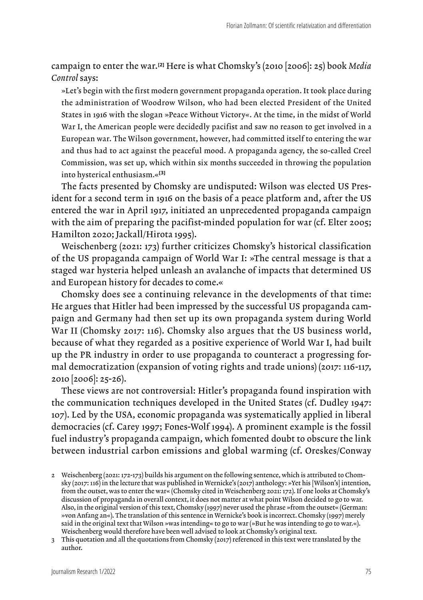campaign to enter the war.**[2]** Here is what Chomsky's (2010 [2006]: 25) book *Media Control* says:

»Let's begin with the first modern government propaganda operation. It took place during the administration of Woodrow Wilson, who had been elected President of the United States in 1916 with the slogan »Peace Without Victory«. At the time, in the midst of World War I, the American people were decidedly pacifist and saw no reason to get involved in a European war. The Wilson government, however, had committed itself to entering the war and thus had to act against the peaceful mood. A propaganda agency, the so-called Creel Commission, was set up, which within six months succeeded in throwing the population into hysterical enthusiasm.«**[3]**

The facts presented by Chomsky are undisputed: Wilson was elected US President for a second term in 1916 on the basis of a peace platform and, after the US entered the war in April 1917, initiated an unprecedented propaganda campaign with the aim of preparing the pacifist-minded population for war (cf. Elter 2005; Hamilton 2020; Jackall/Hirota 1995).

Weischenberg (2021: 173) further criticizes Chomsky's historical classification of the US propaganda campaign of World War I: »The central message is that a staged war hysteria helped unleash an avalanche of impacts that determined US and European history for decades to come.«

Chomsky does see a continuing relevance in the developments of that time: He argues that Hitler had been impressed by the successful US propaganda campaign and Germany had then set up its own propaganda system during World War II (Chomsky 2017: 116). Chomsky also argues that the US business world, because of what they regarded as a positive experience of World War I, had built up the PR industry in order to use propaganda to counteract a progressing formal democratization (expansion of voting rights and trade unions) (2017: 116-117, 2010 [2006]: 25-26).

These views are not controversial: Hitler's propaganda found inspiration with the communication techniques developed in the United States (cf. Dudley 1947: 107). Led by the USA, economic propaganda was systematically applied in liberal democracies (cf. Carey 1997; Fones-Wolf 1994). A prominent example is the fossil fuel industry's propaganda campaign, which fomented doubt to obscure the link between industrial carbon emissions and global warming (cf. Oreskes/Conway

<sup>2</sup> Weischenberg (2021: 172-173) builds his argument on the following sentence, which is attributed to Chomsky (2017: 116) in the lecture that was published in Wernicke's (2017) anthology: »Yet his [Wilson's] intention, from the outset, was to enter the war« (Chomsky cited in Weischenberg 2021: 172). If one looks at Chomsky's discussion of propaganda in overall context, it does not matter at what point Wilson decided to go to war. Also, in the original version of this text, Chomsky (1997) never used the phrase »from the outset« (German: »von Anfang an«). The translation of this sentence in Wernicke's book is incorrect. Chomsky (1997) merely said in the original text that Wilson »was intending« to go to war (»But he was intending to go to war.«). Weischenberg would therefore have been well advised to look at Chomsky's original text.

<sup>3</sup> This quotation and all the quotations from Chomsky (2017) referenced in this text were translated by the author.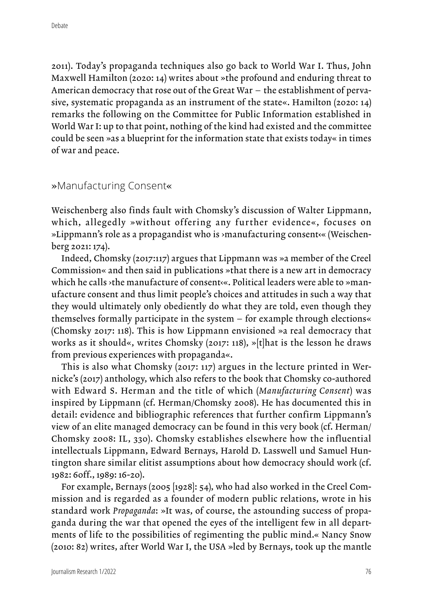2011). Today's propaganda techniques also go back to World War I. Thus, John Maxwell Hamilton (2020: 14) writes about »the profound and enduring threat to American democracy that rose out of the Great War – the establishment of pervasive, systematic propaganda as an instrument of the state«. Hamilton (2020: 14) remarks the following on the Committee for Public Information established in World War I: up to that point, nothing of the kind had existed and the committee could be seen »as a blueprint for the information state that exists today« in times of war and peace.

#### »Manufacturing Consent«

Weischenberg also finds fault with Chomsky's discussion of Walter Lippmann, which, allegedly »without offering any further evidence«, focuses on »Lippmann's role as a propagandist who is ›manufacturing consent‹« (Weischenberg 2021: 174).

Indeed, Chomsky (2017:117) argues that Lippmann was »a member of the Creel Commission« and then said in publications »that there is a new art in democracy which he calls >the manufacture of consent<<. Political leaders were able to >manufacture consent and thus limit people's choices and attitudes in such a way that they would ultimately only obediently do what they are told, even though they themselves formally participate in the system – for example through elections« (Chomsky 2017: 118). This is how Lippmann envisioned »a real democracy that works as it should«, writes Chomsky (2017: 118), »[t]hat is the lesson he draws from previous experiences with propaganda«.

This is also what Chomsky (2017: 117) argues in the lecture printed in Wernicke's (2017) anthology, which also refers to the book that Chomsky co-authored with Edward S. Herman and the title of which (*Manufacturing Consent*) was inspired by Lippmann (cf. Herman/Chomsky 2008). He has documented this in detail: evidence and bibliographic references that further confirm Lippmann's view of an elite managed democracy can be found in this very book (cf. Herman/ Chomsky 2008: IL, 330). Chomsky establishes elsewhere how the influential intellectuals Lippmann, Edward Bernays, Harold D. Lasswell und Samuel Huntington share similar elitist assumptions about how democracy should work (cf. 1982: 60ff., 1989: 16-20).

For example, Bernays (2005 [1928]: 54), who had also worked in the Creel Commission and is regarded as a founder of modern public relations, wrote in his standard work *Propaganda*: »It was, of course, the astounding success of propaganda during the war that opened the eyes of the intelligent few in all departments of life to the possibilities of regimenting the public mind.« Nancy Snow (2010: 82) writes, after World War I, the USA »led by Bernays, took up the mantle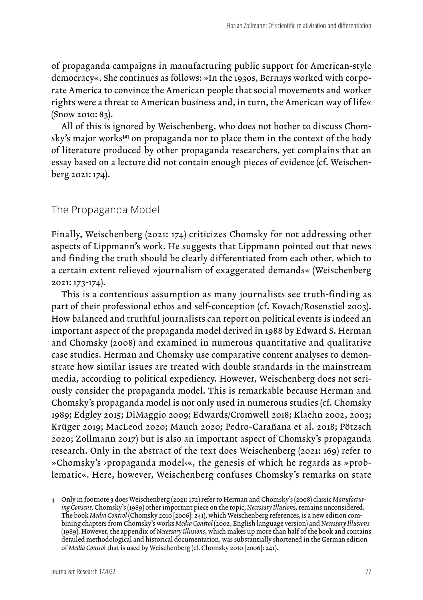of propaganda campaigns in manufacturing public support for American-style democracy«. She continues as follows: »In the 1930s, Bernays worked with corporate America to convince the American people that social movements and worker rights were a threat to American business and, in turn, the American way of life« (Snow 2010: 83).

All of this is ignored by Weischenberg, who does not bother to discuss Chomsky's major works<sup>[4]</sup> on propaganda nor to place them in the context of the body of literature produced by other propaganda researchers, yet complains that an essay based on a lecture did not contain enough pieces of evidence (cf. Weischenberg 2021: 174).

#### The Propaganda Model

Finally, Weischenberg (2021: 174) criticizes Chomsky for not addressing other aspects of Lippmann's work. He suggests that Lippmann pointed out that news and finding the truth should be clearly differentiated from each other, which to a certain extent relieved »journalism of exaggerated demands« (Weischenberg 2021: 173-174).

This is a contentious assumption as many journalists see truth-finding as part of their professional ethos and self-conception (cf. Kovach/Rosenstiel 2003). How balanced and truthful journalists can report on political events is indeed an important aspect of the propaganda model derived in 1988 by Edward S. Herman and Chomsky (2008) and examined in numerous quantitative and qualitative case studies. Herman and Chomsky use comparative content analyses to demonstrate how similar issues are treated with double standards in the mainstream media, according to political expediency. However, Weischenberg does not seriously consider the propaganda model. This is remarkable because Herman and Chomsky's propaganda model is not only used in numerous studies (cf. Chomsky 1989; Edgley 2015; DiMaggio 2009; Edwards/Cromwell 2018; Klaehn 2002, 2003; Krüger 2019; MacLeod 2020; Mauch 2020; Pedro-Carañana et al. 2018; Pötzsch 2020; Zollmann 2017) but is also an important aspect of Chomsky's propaganda research. Only in the abstract of the text does Weischenberg (2021: 169) refer to »Chomsky's ›propaganda model‹«, the genesis of which he regards as »problematic«. Here, however, Weischenberg confuses Chomsky's remarks on state

<sup>4</sup> Only in footnote 3 does Weischenberg (2021: 172) refer to Herman and Chomsky's (2008) classic *Manufacturing Consent*. Chomsky's (1989) other important piece on the topic, *Necessary Illusion*s, remains unconsidered. The book *Media Control* (Chomsky 2010 [2006]: 241), which Weischenberg references, is a new edition combining chapters from Chomsky's works *Media Control* (2002, English language version) and *Necessary Illusions* (1989). However, the appendix of *Necessary Illusions*, which makes up more than half of the book and contains detailed methodological and historical documentation, was substantially shortened in the German edition of *Media Contro*l that is used by Weischenberg (cf. Chomsky 2010 [2006]: 241).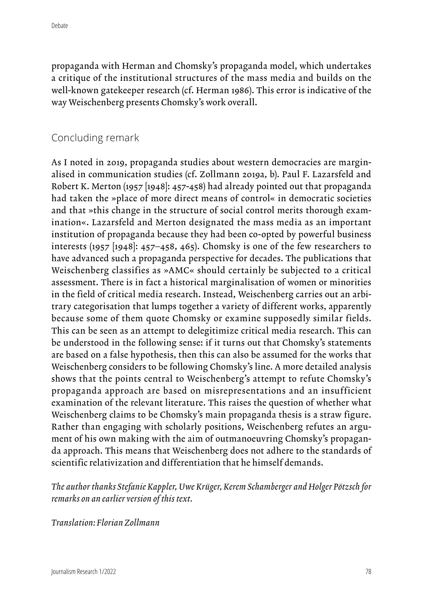propaganda with Herman and Chomsky's propaganda model, which undertakes a critique of the institutional structures of the mass media and builds on the well-known gatekeeper research (cf. Herman 1986). This error is indicative of the way Weischenberg presents Chomsky's work overall.

## Concluding remark

As I noted in 2019, propaganda studies about western democracies are marginalised in communication studies (cf. Zollmann 2019a, b). Paul F. Lazarsfeld and Robert K. Merton (1957 [1948]: 457-458) had already pointed out that propaganda had taken the »place of more direct means of control« in democratic societies and that »this change in the structure of social control merits thorough examination«. Lazarsfeld and Merton designated the mass media as an important institution of propaganda because they had been co-opted by powerful business interests (1957 [1948]: 457–458, 465). Chomsky is one of the few researchers to have advanced such a propaganda perspective for decades. The publications that Weischenberg classifies as »AMC« should certainly be subjected to a critical assessment. There is in fact a historical marginalisation of women or minorities in the field of critical media research. Instead, Weischenberg carries out an arbitrary categorisation that lumps together a variety of different works, apparently because some of them quote Chomsky or examine supposedly similar fields. This can be seen as an attempt to delegitimize critical media research. This can be understood in the following sense: if it turns out that Chomsky's statements are based on a false hypothesis, then this can also be assumed for the works that Weischenberg considers to be following Chomsky's line. A more detailed analysis shows that the points central to Weischenberg's attempt to refute Chomsky's propaganda approach are based on misrepresentations and an insufficient examination of the relevant literature. This raises the question of whether what Weischenberg claims to be Chomsky's main propaganda thesis is a straw figure. Rather than engaging with scholarly positions, Weischenberg refutes an argument of his own making with the aim of outmanoeuvring Chomsky's propaganda approach. This means that Weischenberg does not adhere to the standards of scientific relativization and differentiation that he himself demands.

*The author thanks Stefanie Kappler, Uwe Krüger, Kerem Schamberger and Holger Pötzsch for remarks on an earlier version of this text.*

*Translation: Florian Zollmann*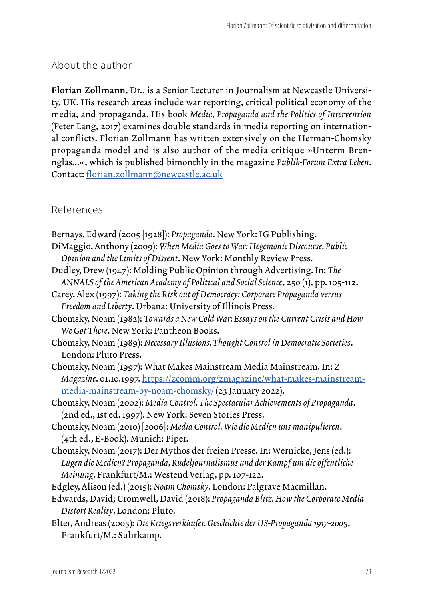## About the author

Florian Zollmann, Dr., is a Senior Lecturer in Journalism at Newcastle University, UK. His research areas include war reporting, critical political economy of the media, and propaganda. His book *Media, Propaganda and the Politics of Intervention* (Peter Lang, 2017) examines double standards in media reporting on international conflicts. Florian Zollmann has written extensively on the Herman-Chomsky propaganda model and is also author of the media critique »Unterm Brennglas...«, which is published bimonthly in the magazine *Publik-Forum Extra Leben*. Contact: [florian.zollmann@newcastle.ac.uk](mailto:florian.zollmann@newcastle.ac.uk)

## References

| Bernays, Edward (2005 [1928]): Propaganda. New York: IG Publishing.                   |
|---------------------------------------------------------------------------------------|
| DiMaggio, Anthony (2009): When Media Goes to War: Hegemonic Discourse, Public         |
| Opinion and the Limits of Dissent. New York: Monthly Review Press.                    |
| Dudley, Drew (1947): Molding Public Opinion through Advertising. In: The              |
| ANNALS of the American Academy of Political and Social Science, 250 (1), pp. 105-112. |
| Carey, Alex (1997): Taking the Risk out of Democracy: Corporate Propaganda versus     |
| Freedom and Liberty. Urbana: University of Illinois Press.                            |
| Chomsky, Noam (1982): Towards a New Cold War: Essays on the Current Crisis and How    |
| We Got There. New York: Pantheon Books.                                               |
| Chomsky, Noam (1989): Necessary Illusions. Thought Control in Democratic Societies.   |
| London: Pluto Press.                                                                  |
| Chomsky, Noam (1997): What Makes Mainstream Media Mainstream. In: Z                   |
| Magazine. 01.10.1997. https://zcomm.org/zmagazine/what-makes-mainstream-              |
| media-mainstream-by-noam-chomsky/(23 January 2022).                                   |
| Chomsky, Noam (2002): Media Control. The Spectacular Achievements of Propaganda.      |
| (2nd ed., 1st ed. 1997). New York: Seven Stories Press.                               |
| Chomsky, Noam (2010) [2006]: Media Control. Wie die Medien uns manipulieren.          |
| (4th ed., E-Book). Munich: Piper.                                                     |
| Chomsky, Noam (2017): Der Mythos der freien Presse. In: Wernicke, Jens (ed.):         |
| Lügen die Medien? Propaganda, Rudeljournalismus und der Kampf um die öffentliche      |
| Meinung. Frankfurt/M.: Westend Verlag, pp. 107-122.                                   |
| Edgley, Alison (ed.) (2015): Noam Chomsky. London: Palgrave Macmillan.                |
| Edwards, David; Cromwell, David (2018): Propaganda Blitz: How the Corporate Media     |
| Distort Reality. London: Pluto.                                                       |
| Elter, Andreas (2005): Die Kriegsverkäufer. Geschichte der US-Propaganda 1917-2005.   |
| Frankfurt/M.: Suhrkamp.                                                               |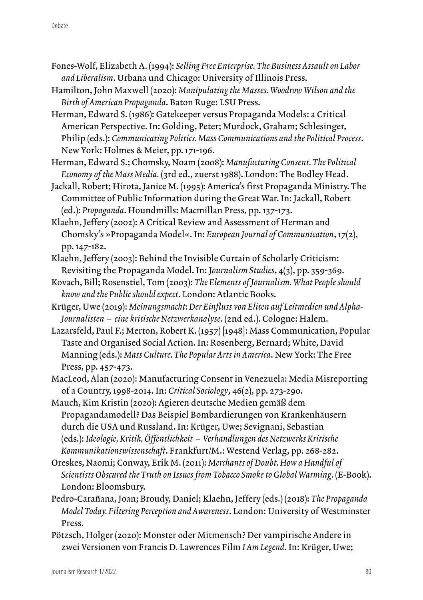- Fones-Wolf, Elizabeth A. (1994): *Selling Free Enterprise. The Business Assault on Labor and Liberalism*. Urbana und Chicago: University of Illinois Press.
- Hamilton, John Maxwell (2020): *Manipulating the Masses. Woodrow Wilson and the Birth of American Propaganda*. Baton Ruge: LSU Press.
- Herman, Edward S. (1986): Gatekeeper versus Propaganda Models: a Critical American Perspective. In: Golding, Peter; Murdock, Graham; Schlesinger, Philip (eds.): *Communicating Politics. Mass Communications and the Political Process*. New York: Holmes & Meier, pp. 171-196.
- Herman, Edward S.; Chomsky, Noam (2008): *Manufacturing Consent. The Political Economy of the Mass Media.* (3rd ed., zuerst 1988). London: The Bodley Head.
- Jackall, Robert; Hirota, Janice M. (1995): America's first Propaganda Ministry. The Committee of Public Information during the Great War. In: Jackall, Robert (ed.): *Propaganda*. Houndmills: Macmillan Press, pp. 137-173.
- Klaehn, Jeffery (2002): A Critical Review and Assessment of Herman and Chomsky's »Propaganda Model«. In: *European Journal of Communication*, 17(2), pp. 147-182.
- Klaehn, Jeffery (2003): Behind the Invisible Curtain of Scholarly Criticism: Revisiting the Propaganda Model. In: J*ournalism Studies*, 4(3), pp. 359-369.
- Kovach, Bill; Rosenstiel, Tom (2003): *The Elements of Journalism. What People should know and the Public should expect*. London: Atlantic Books.
- Krüger, Uwe (2019): *Meinungsmacht: Der Einfluss von Eliten auf Leitmedien und Alpha-Journalisten – eine kritische Netzwerkanalyse*. (2nd ed.). Cologne: Halem.
- Lazarsfeld, Paul F.; Merton, Robert K. (1957) [1948]: Mass Communication, Popular Taste and Organised Social Action. In: Rosenberg, Bernard; White, David Manning (eds.): *Mass Culture. The Popular Arts in America*. New York: The Free Press, pp. 457-473.
- MacLeod, Alan (2020): Manufacturing Consent in Venezuela: Media Misreporting of a Country, 1998-2014. In: *Critical Sociology*, 46(2), pp. 273-290.
- Mauch, Kim Kristin (2020): Agieren deutsche Medien gemäß dem Propagandamodell? Das Beispiel Bombardierungen von Krankenhäusern durch die USA und Russland. In: Krüger, Uwe; Sevignani, Sebastian (eds.): *Ideologie, Kritik, Öffentlichkeit – Verhandlungen des Netzwerks Kritische Kommunikationswissenschaft*. Frankfurt/M.: Westend Verlag, pp. 268-282.
- Oreskes, Naomi; Conway, Erik M. (2011): *Merchants of Doubt. How a Handful of Scientists Obscured the Truth on Issues from Tobacco Smoke to Global Warming*. (E-Book). London: Bloomsbury.
- Pedro-Carañana, Joan; Broudy, Daniel; Klaehn, Jeffery (eds.) (2018): *The Propaganda Model Today. Filtering Perception and Awareness*. London: University of Westminster Press.
- Pötzsch, Holger (2020): Monster oder Mitmensch? Der vampirische Andere in zwei Versionen von Francis D. Lawrences Film *I Am Legend*. In: Krüger, Uwe;